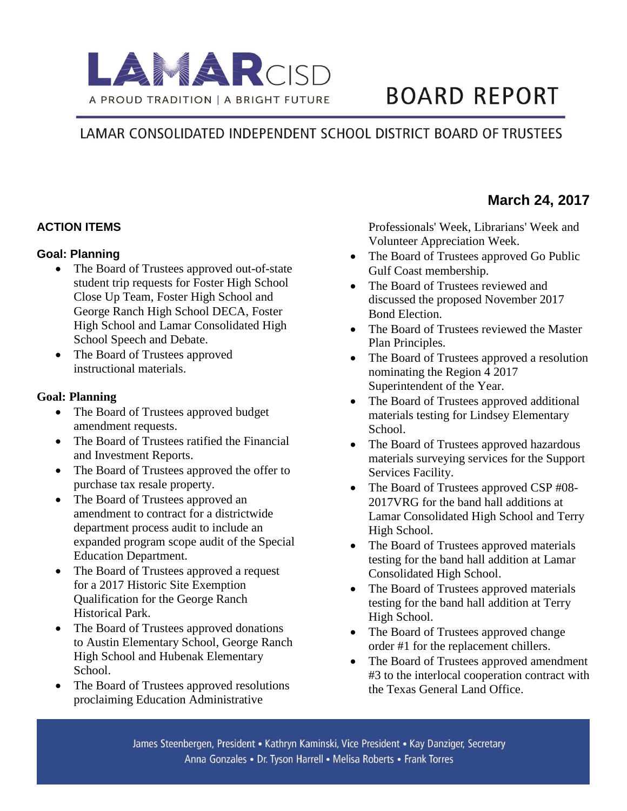

# **BOARD REPORT**

## LAMAR CONSOLIDATED INDEPENDENT SCHOOL DISTRICT BOARD OF TRUSTEES

#### **ACTION ITEMS**

#### **Goal: Planning**

- The Board of Trustees approved out-of-state student trip requests for Foster High School Close Up Team, Foster High School and George Ranch High School DECA, Foster High School and Lamar Consolidated High School Speech and Debate.
- The Board of Trustees approved instructional materials.

#### **Goal: Planning**

- The Board of Trustees approved budget amendment requests.
- The Board of Trustees ratified the Financial and Investment Reports.
- The Board of Trustees approved the offer to purchase tax resale property.
- The Board of Trustees approved an amendment to contract for a districtwide department process audit to include an expanded program scope audit of the Special Education Department.
- The Board of Trustees approved a request for a 2017 Historic Site Exemption Qualification for the George Ranch Historical Park.
- The Board of Trustees approved donations to Austin Elementary School, George Ranch High School and Hubenak Elementary School.
- The Board of Trustees approved resolutions proclaiming Education Administrative

Professionals' Week, Librarians' Week and Volunteer Appreciation Week.

- The Board of Trustees approved Go Public Gulf Coast membership.
- The Board of Trustees reviewed and discussed the proposed November 2017 Bond Election.
- The Board of Trustees reviewed the Master Plan Principles.
- The Board of Trustees approved a resolution nominating the Region 4 2017 Superintendent of the Year.
- The Board of Trustees approved additional materials testing for Lindsey Elementary School.
- The Board of Trustees approved hazardous materials surveying services for the Support Services Facility.
- The Board of Trustees approved CSP #08-2017VRG for the band hall additions at Lamar Consolidated High School and Terry High School.
- The Board of Trustees approved materials testing for the band hall addition at Lamar Consolidated High School.
- The Board of Trustees approved materials testing for the band hall addition at Terry High School.
- The Board of Trustees approved change order #1 for the replacement chillers.
- The Board of Trustees approved amendment #3 to the interlocal cooperation contract with the Texas General Land Office.

### **March 24, 2017**